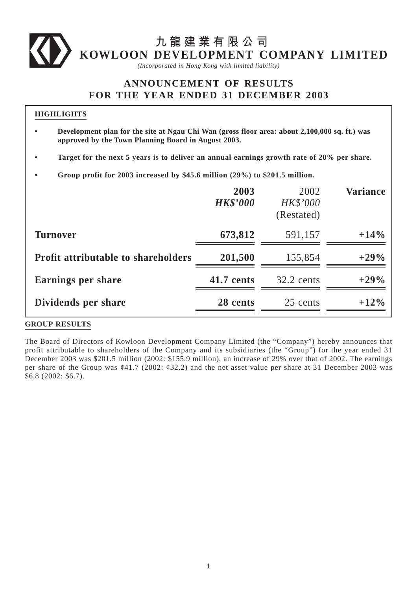# **九龍建業有限公司 KOWLOON DEVELOPMENT COMPANY LIMITED**

*(Incorporated in Hong Kong with limited liability)*

# **ANNOUNCEMENT OF RESULTS FOR THE YEAR ENDED 31 DECEMBER 2003**

### **HIGHLIGHTS**

- **Development plan for the site at Ngau Chi Wan (gross floor area: about 2,100,000 sq. ft.) was approved by the Town Planning Board in August 2003.**
- **Target for the next 5 years is to deliver an annual earnings growth rate of 20% per share.**
- **Group profit for 2003 increased by \$45.6 million (29%) to \$201.5 million.**

|                                            | 2003<br><b>HK\$'000</b> | 2002<br><b>HK\$'000</b><br>(Restated) | <b>Variance</b> |
|--------------------------------------------|-------------------------|---------------------------------------|-----------------|
| <b>Turnover</b>                            | 673,812                 | 591,157                               | $+14%$          |
| <b>Profit attributable to shareholders</b> | 201,500                 | 155,854                               | $+29%$          |
| <b>Earnings per share</b>                  | 41.7 cents              | $32.2$ cents                          | $+29%$          |
| Dividends per share                        | 28 cents                | 25 cents                              | $+12\%$         |

### **GROUP RESULTS**

The Board of Directors of Kowloon Development Company Limited (the "Company") hereby announces that profit attributable to shareholders of the Company and its subsidiaries (the "Group") for the year ended 31 December 2003 was \$201.5 million (2002: \$155.9 million), an increase of 29% over that of 2002. The earnings per share of the Group was  $\varphi$ 41.7 (2002:  $\varphi$ 32.2) and the net asset value per share at 31 December 2003 was \$6.8 (2002: \$6.7).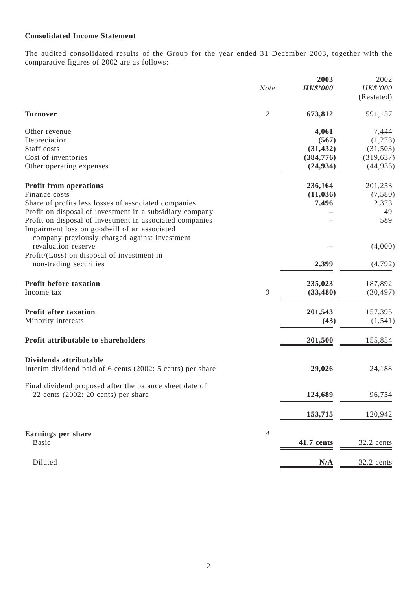## **Consolidated Income Statement**

The audited consolidated results of the Group for the year ended 31 December 2003, together with the comparative figures of 2002 are as follows:

|                                                            | <b>Note</b>    | 2003<br><b>HK\$'000</b> | 2002<br>HK\$'000<br>(Restated) |
|------------------------------------------------------------|----------------|-------------------------|--------------------------------|
| <b>Turnover</b>                                            | $\overline{2}$ | 673,812                 | 591,157                        |
| Other revenue                                              |                | 4,061                   | 7,444                          |
| Depreciation                                               |                | (567)                   | (1,273)                        |
| Staff costs                                                |                | (31, 432)               | (31, 503)                      |
| Cost of inventories                                        |                | (384, 776)              | (319, 637)                     |
| Other operating expenses                                   |                | (24, 934)               | (44, 935)                      |
| <b>Profit from operations</b>                              |                | 236,164                 | 201,253                        |
| Finance costs                                              |                | (11, 036)               | (7,580)                        |
| Share of profits less losses of associated companies       |                | 7,496                   | 2,373                          |
| Profit on disposal of investment in a subsidiary company   |                |                         | 49                             |
| Profit on disposal of investment in associated companies   |                |                         | 589                            |
| Impairment loss on goodwill of an associated               |                |                         |                                |
| company previously charged against investment              |                |                         |                                |
| revaluation reserve                                        |                |                         | (4,000)                        |
| Profit/(Loss) on disposal of investment in                 |                |                         |                                |
| non-trading securities                                     |                | 2,399                   | (4,792)                        |
| <b>Profit before taxation</b>                              |                | 235,023                 | 187,892                        |
| Income tax                                                 | $\mathfrak{Z}$ | (33, 480)               | (30, 497)                      |
| <b>Profit after taxation</b>                               |                | 201,543                 | 157,395                        |
| Minority interests                                         |                | (43)                    | (1, 541)                       |
|                                                            |                |                         |                                |
| Profit attributable to shareholders                        |                | 201,500                 | 155,854                        |
| Dividends attributable                                     |                |                         |                                |
| Interim dividend paid of 6 cents (2002: 5 cents) per share |                | 29,026                  | 24,188                         |
|                                                            |                |                         |                                |
| Final dividend proposed after the balance sheet date of    |                |                         |                                |
| 22 cents $(2002: 20 \text{ cents})$ per share              |                | 124,689                 | 96,754                         |
|                                                            |                | 153,715                 | 120,942                        |
|                                                            |                |                         |                                |
| <b>Earnings per share</b>                                  | $\overline{4}$ |                         |                                |
| <b>Basic</b>                                               |                | 41.7 cents              | 32.2 cents                     |
| Diluted                                                    |                | N/A                     | 32.2 cents                     |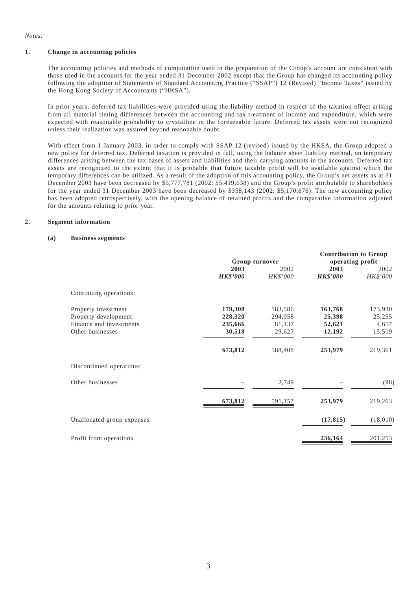*Notes:*

#### **1. Change in accounting policies**

The accounting policies and methods of computation used in the preparation of the Group's account are consistent with those used in the accounts for the year ended 31 December 2002 except that the Group has changed its accounting policy following the adoption of Statements of Standard Accounting Practice ("SSAP") 12 (Revised) "Income Taxes" issued by the Hong Kong Society of Accountants ("HKSA").

In prior years, deferred tax liabilities were provided using the liability method in respect of the taxation effect arising from all material timing differences between the accounting and tax treatment of income and expenditure, which were expected with reasonable probability to crystallize in the foreseeable future. Deferred tax assets were not recognized unless their realization was assured beyond reasonable doubt.

With effect from 1 January 2003, in order to comply with SSAP 12 (revised) issued by the HKSA, the Group adopted a new policy for deferred tax. Deferred taxation is provided in full, using the balance sheet liability method, on temporary differences arising between the tax bases of assets and liabilities and their carrying amounts in the accounts. Deferred tax assets are recognized to the extent that it is probable that future taxable profit will be available against which the temporary differences can be utilized. As a result of the adoption of this accounting policy, the Group's net assets as at 31 December 2003 have been decreased by \$5,777,781 (2002: \$5,419,638) and the Group's profit attributable to shareholders for the year ended 31 December 2003 have been decreased by \$358,143 (2002: \$5,170,676). The new accounting policy has been adopted retrospectively, with the opening balance of retained profits and the comparative information adjusted for the amounts relating to prior year.

#### **2. Segment information**

#### **(a) Business segments**

|                                                                                            |                                         | Group turnover                         |                                       | <b>Contribution to Group</b><br>operating profit |  |
|--------------------------------------------------------------------------------------------|-----------------------------------------|----------------------------------------|---------------------------------------|--------------------------------------------------|--|
|                                                                                            | 2003<br><b>HK\$'000</b>                 | 2002<br>HK\$'000                       | 2003<br><b>HK\$'000</b>               | 2002<br>HK\$'000                                 |  |
| Continuing operations:                                                                     |                                         |                                        |                                       |                                                  |  |
| Property investment<br>Property development<br>Finance and investments<br>Other businesses | 179,308<br>228,320<br>235,666<br>30,518 | 183,586<br>294,058<br>81,137<br>29,627 | 163,768<br>25,398<br>52,621<br>12,192 | 173,930<br>25,255<br>4,657<br>15,519             |  |
|                                                                                            | 673,812                                 | 588,408                                | 253,979                               | 219,361                                          |  |
| Discontinued operations:                                                                   |                                         |                                        |                                       |                                                  |  |
| Other businesses                                                                           |                                         | 2,749                                  |                                       | (98)                                             |  |
|                                                                                            | 673,812                                 | 591,157                                | 253,979                               | 219,263                                          |  |
| Unallocated group expenses                                                                 |                                         |                                        | (17, 815)                             | (18,010)                                         |  |
| Profit from operations                                                                     |                                         |                                        | 236,164                               | 201,253                                          |  |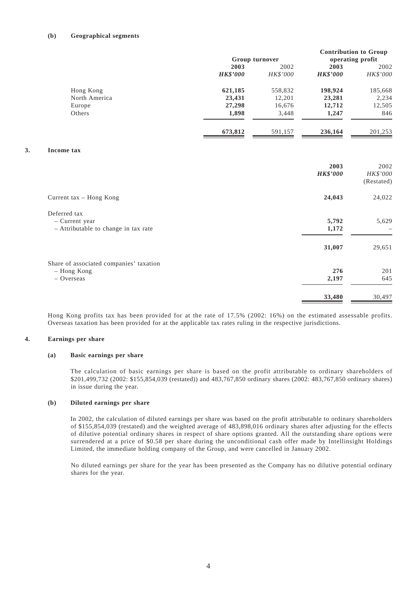#### **(b) Geographical segments**

|    |                                         | Group turnover  |          | <b>Contribution to Group</b><br>operating profit |            |
|----|-----------------------------------------|-----------------|----------|--------------------------------------------------|------------|
|    |                                         | 2003            | 2002     | 2003                                             | 2002       |
|    |                                         | <b>HK\$'000</b> | HK\$'000 | <b>HK\$'000</b>                                  | HK\$'000   |
|    | Hong Kong                               | 621,185         | 558,832  | 198,924                                          | 185,668    |
|    | North America                           | 23,431          | 12,201   | 23,281                                           | 2,234      |
|    | Europe                                  | 27,298          | 16,676   | 12,712                                           | 12,505     |
|    | Others                                  | 1,898           | 3,448    | 1,247                                            | 846        |
|    |                                         | 673,812         | 591,157  | 236,164                                          | 201,253    |
| 3. | Income tax                              |                 |          |                                                  |            |
|    |                                         |                 |          | 2003                                             | 2002       |
|    |                                         |                 |          | <b>HK\$'000</b>                                  | HK\$'000   |
|    |                                         |                 |          |                                                  | (Restated) |
|    | Current tax - Hong Kong                 |                 |          | 24,043                                           | 24,022     |
|    | Deferred tax                            |                 |          |                                                  |            |
|    | - Current year                          |                 |          | 5,792                                            | 5,629      |
|    | - Attributable to change in tax rate    |                 |          | 1,172                                            |            |
|    |                                         |                 |          | 31,007                                           | 29,651     |
|    | Share of associated companies' taxation |                 |          |                                                  |            |
|    | - Hong Kong                             |                 |          | 276                                              | 201        |
|    | $-$ Overseas                            |                 |          | 2,197                                            | 645        |
|    |                                         |                 |          | 33,480                                           | 30,497     |

Hong Kong profits tax has been provided for at the rate of 17.5% (2002: 16%) on the estimated assessable profits. Overseas taxation has been provided for at the applicable tax rates ruling in the respective jurisdictions.

#### **4. Earnings per share**

#### **(a) Basic earnings per share**

The calculation of basic earnings per share is based on the profit attributable to ordinary shareholders of \$201,499,732 (2002: \$155,854,039 (restated)) and 483,767,850 ordinary shares (2002: 483,767,850 ordinary shares) in issue during the year.

#### **(b) Diluted earnings per share**

In 2002, the calculation of diluted earnings per share was based on the profit attributable to ordinary shareholders of \$155,854,039 (restated) and the weighted average of 483,898,016 ordinary shares after adjusting for the effects of dilutive potential ordinary shares in respect of share options granted. All the outstanding share options were surrendered at a price of \$0.58 per share during the unconditional cash offer made by Intellinsight Holdings Limited, the immediate holding company of the Group, and were cancelled in January 2002.

No diluted earnings per share for the year has been presented as the Company has no dilutive potential ordinary shares for the year.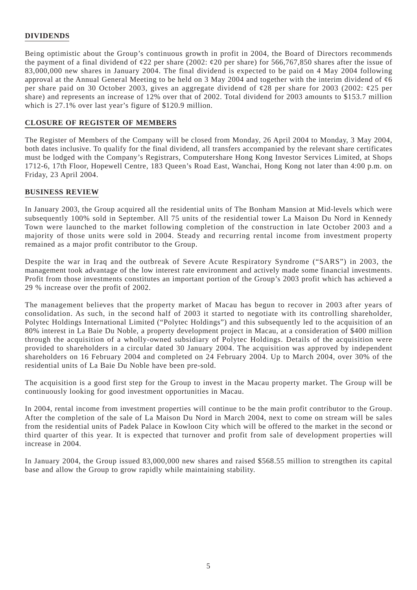### **DIVIDENDS**

Being optimistic about the Group's continuous growth in profit in 2004, the Board of Directors recommends the payment of a final dividend of  $\&$  22 per share (2002:  $\&$  20 per share) for 566,767,850 shares after the issue of 83,000,000 new shares in January 2004. The final dividend is expected to be paid on 4 May 2004 following approval at the Annual General Meeting to be held on 3 May 2004 and together with the interim dividend of ¢6 per share paid on 30 October 2003, gives an aggregate dividend of ¢28 per share for 2003 (2002: ¢25 per share) and represents an increase of 12% over that of 2002. Total dividend for 2003 amounts to \$153.7 million which is 27.1% over last year's figure of \$120.9 million.

#### **CLOSURE OF REGISTER OF MEMBERS**

The Register of Members of the Company will be closed from Monday, 26 April 2004 to Monday, 3 May 2004, both dates inclusive. To qualify for the final dividend, all transfers accompanied by the relevant share certificates must be lodged with the Company's Registrars, Computershare Hong Kong Investor Services Limited, at Shops 1712-6, 17th Floor, Hopewell Centre, 183 Queen's Road East, Wanchai, Hong Kong not later than 4:00 p.m. on Friday, 23 April 2004.

#### **BUSINESS REVIEW**

In January 2003, the Group acquired all the residential units of The Bonham Mansion at Mid-levels which were subsequently 100% sold in September. All 75 units of the residential tower La Maison Du Nord in Kennedy Town were launched to the market following completion of the construction in late October 2003 and a majority of those units were sold in 2004. Steady and recurring rental income from investment property remained as a major profit contributor to the Group.

Despite the war in Iraq and the outbreak of Severe Acute Respiratory Syndrome ("SARS") in 2003, the management took advantage of the low interest rate environment and actively made some financial investments. Profit from those investments constitutes an important portion of the Group's 2003 profit which has achieved a 29 % increase over the profit of 2002.

The management believes that the property market of Macau has begun to recover in 2003 after years of consolidation. As such, in the second half of 2003 it started to negotiate with its controlling shareholder, Polytec Holdings International Limited ("Polytec Holdings") and this subsequently led to the acquisition of an 80% interest in La Baie Du Noble, a property development project in Macau, at a consideration of \$400 million through the acquisition of a wholly-owned subsidiary of Polytec Holdings. Details of the acquisition were provided to shareholders in a circular dated 30 January 2004. The acquisition was approved by independent shareholders on 16 February 2004 and completed on 24 February 2004. Up to March 2004, over 30% of the residential units of La Baie Du Noble have been pre-sold.

The acquisition is a good first step for the Group to invest in the Macau property market. The Group will be continuously looking for good investment opportunities in Macau.

In 2004, rental income from investment properties will continue to be the main profit contributor to the Group. After the completion of the sale of La Maison Du Nord in March 2004, next to come on stream will be sales from the residential units of Padek Palace in Kowloon City which will be offered to the market in the second or third quarter of this year. It is expected that turnover and profit from sale of development properties will increase in 2004.

In January 2004, the Group issued 83,000,000 new shares and raised \$568.55 million to strengthen its capital base and allow the Group to grow rapidly while maintaining stability.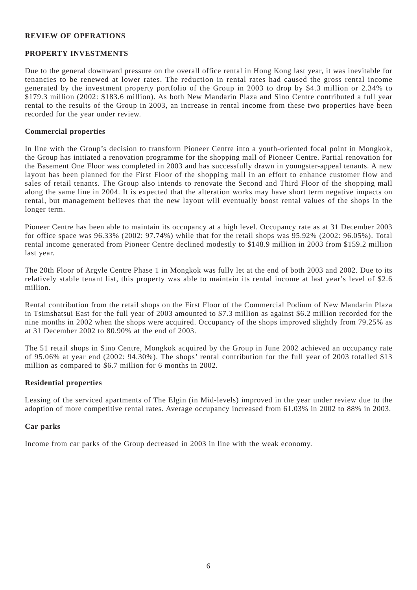#### **REVIEW OF OPERATIONS**

#### **PROPERTY INVESTMENTS**

Due to the general downward pressure on the overall office rental in Hong Kong last year, it was inevitable for tenancies to be renewed at lower rates. The reduction in rental rates had caused the gross rental income generated by the investment property portfolio of the Group in 2003 to drop by \$4.3 million or 2.34% to \$179.3 million (2002: \$183.6 million). As both New Mandarin Plaza and Sino Centre contributed a full year rental to the results of the Group in 2003, an increase in rental income from these two properties have been recorded for the year under review.

#### **Commercial properties**

In line with the Group's decision to transform Pioneer Centre into a youth-oriented focal point in Mongkok, the Group has initiated a renovation programme for the shopping mall of Pioneer Centre. Partial renovation for the Basement One Floor was completed in 2003 and has successfully drawn in youngster-appeal tenants. A new layout has been planned for the First Floor of the shopping mall in an effort to enhance customer flow and sales of retail tenants. The Group also intends to renovate the Second and Third Floor of the shopping mall along the same line in 2004. It is expected that the alteration works may have short term negative impacts on rental, but management believes that the new layout will eventually boost rental values of the shops in the longer term.

Pioneer Centre has been able to maintain its occupancy at a high level. Occupancy rate as at 31 December 2003 for office space was 96.33% (2002: 97.74%) while that for the retail shops was 95.92% (2002: 96.05%). Total rental income generated from Pioneer Centre declined modestly to \$148.9 million in 2003 from \$159.2 million last year.

The 20th Floor of Argyle Centre Phase 1 in Mongkok was fully let at the end of both 2003 and 2002. Due to its relatively stable tenant list, this property was able to maintain its rental income at last year's level of \$2.6 million.

Rental contribution from the retail shops on the First Floor of the Commercial Podium of New Mandarin Plaza in Tsimshatsui East for the full year of 2003 amounted to \$7.3 million as against \$6.2 million recorded for the nine months in 2002 when the shops were acquired. Occupancy of the shops improved slightly from 79.25% as at 31 December 2002 to 80.90% at the end of 2003.

The 51 retail shops in Sino Centre, Mongkok acquired by the Group in June 2002 achieved an occupancy rate of 95.06% at year end (2002: 94.30%). The shops' rental contribution for the full year of 2003 totalled \$13 million as compared to \$6.7 million for 6 months in 2002.

#### **Residential properties**

Leasing of the serviced apartments of The Elgin (in Mid-levels) improved in the year under review due to the adoption of more competitive rental rates. Average occupancy increased from 61.03% in 2002 to 88% in 2003.

#### **Car parks**

Income from car parks of the Group decreased in 2003 in line with the weak economy.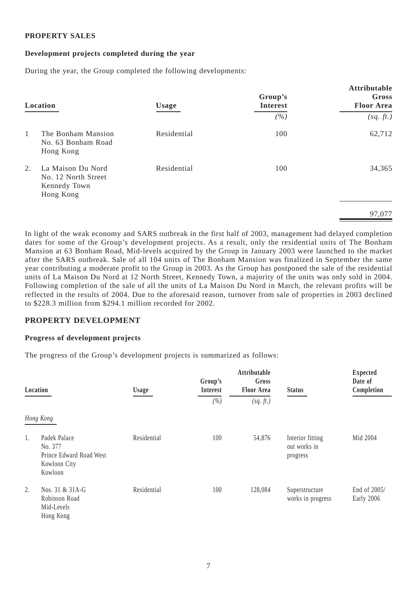### **PROPERTY SALES**

### **Development projects completed during the year**

During the year, the Group completed the following developments:

| Location                                                                    | <b>Usage</b> | Group's<br><b>Interest</b> | Attributable<br>Gross<br><b>Floor Area</b> |
|-----------------------------------------------------------------------------|--------------|----------------------------|--------------------------------------------|
|                                                                             |              | (%)                        | (sq, ft.)                                  |
| $\mathbf{1}$<br>The Bonham Mansion<br>No. 63 Bonham Road<br>Hong Kong       | Residential  | 100                        | 62,712                                     |
| 2.<br>La Maison Du Nord<br>No. 12 North Street<br>Kennedy Town<br>Hong Kong | Residential  | 100                        | 34,365                                     |
|                                                                             |              |                            | 97,077                                     |

In light of the weak economy and SARS outbreak in the first half of 2003, management had delayed completion dates for some of the Group's development projects. As a result, only the residential units of The Bonham Mansion at 63 Bonham Road, Mid-levels acquired by the Group in January 2003 were launched to the market after the SARS outbreak. Sale of all 104 units of The Bonham Mansion was finalized in September the same year contributing a moderate profit to the Group in 2003. As the Group has postponed the sale of the residential units of La Maison Du Nord at 12 North Street, Kennedy Town, a majority of the units was only sold in 2004. Following completion of the sale of all the units of La Maison Du Nord in March, the relevant profits will be reflected in the results of 2004. Due to the aforesaid reason, turnover from sale of properties in 2003 declined to \$228.3 million from \$294.1 million recorded for 2002.

### **PROPERTY DEVELOPMENT**

### **Progress of development projects**

The progress of the Group's development projects is summarized as follows:

|    | Location                                                                      | <b>Usage</b> | Group's<br><b>Interest</b><br>(%) | Attributable<br>Gross<br><b>Floor Area</b><br>(sq. ft.) | <b>Status</b>                                | <b>Expected</b><br>Date of<br>Completion |
|----|-------------------------------------------------------------------------------|--------------|-----------------------------------|---------------------------------------------------------|----------------------------------------------|------------------------------------------|
|    | Hong Kong                                                                     |              |                                   |                                                         |                                              |                                          |
| 1. | Padek Palace<br>No. 377<br>Prince Edward Road West<br>Kowloon City<br>Kowloon | Residential  | 100                               | 54,876                                                  | Interior fitting<br>out works in<br>progress | Mid 2004                                 |
| 2. | Nos. 31 & 31A-G<br>Robinson Road<br>Mid-Levels<br>Hong Kong                   | Residential  | 100                               | 128,084                                                 | Superstructure<br>works in progress          | End of 2005/<br>Early 2006               |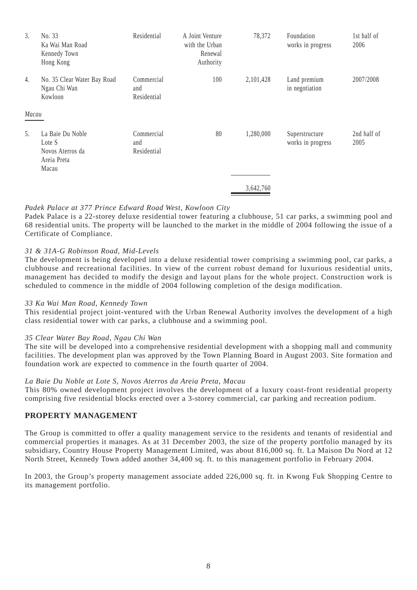| 3.    | No. 33<br>Ka Wai Man Road<br>Kennedy Town<br>Hong Kong                 | Residential                      | A Joint Venture<br>with the Urban<br>Renewal<br>Authority | 78,372    | Foundation<br>works in progress     | 1st half of<br>2006 |
|-------|------------------------------------------------------------------------|----------------------------------|-----------------------------------------------------------|-----------|-------------------------------------|---------------------|
| 4.    | No. 35 Clear Water Bay Road<br>Ngau Chi Wan<br>Kowloon                 | Commercial<br>and<br>Residential | 100                                                       | 2,101,428 | Land premium<br>in negotiation      | 2007/2008           |
| Macau |                                                                        |                                  |                                                           |           |                                     |                     |
| 5.    | La Baie Du Noble<br>Lote S<br>Novos Aterros da<br>Areia Preta<br>Macau | Commercial<br>and<br>Residential | 80                                                        | 1,280,000 | Superstructure<br>works in progress | 2nd half of<br>2005 |
|       |                                                                        |                                  |                                                           | 3,642,760 |                                     |                     |

### *Padek Palace at 377 Prince Edward Road West, Kowloon City*

Padek Palace is a 22-storey deluxe residential tower featuring a clubhouse, 51 car parks, a swimming pool and 68 residential units. The property will be launched to the market in the middle of 2004 following the issue of a Certificate of Compliance.

#### *31 & 31A-G Robinson Road, Mid-Levels*

The development is being developed into a deluxe residential tower comprising a swimming pool, car parks, a clubhouse and recreational facilities. In view of the current robust demand for luxurious residential units, management has decided to modify the design and layout plans for the whole project. Construction work is scheduled to commence in the middle of 2004 following completion of the design modification.

#### *33 Ka Wai Man Road, Kennedy Town*

This residential project joint-ventured with the Urban Renewal Authority involves the development of a high class residential tower with car parks, a clubhouse and a swimming pool.

#### *35 Clear Water Bay Road, Ngau Chi Wan*

The site will be developed into a comprehensive residential development with a shopping mall and community facilities. The development plan was approved by the Town Planning Board in August 2003. Site formation and foundation work are expected to commence in the fourth quarter of 2004.

#### *La Baie Du Noble at Lote S, Novos Aterros da Areia Preta, Macau*

This 80% owned development project involves the development of a luxury coast-front residential property comprising five residential blocks erected over a 3-storey commercial, car parking and recreation podium.

#### **PROPERTY MANAGEMENT**

The Group is committed to offer a quality management service to the residents and tenants of residential and commercial properties it manages. As at 31 December 2003, the size of the property portfolio managed by its subsidiary, Country House Property Management Limited, was about 816,000 sq. ft. La Maison Du Nord at 12 North Street, Kennedy Town added another 34,400 sq. ft. to this management portfolio in February 2004.

In 2003, the Group's property management associate added 226,000 sq. ft. in Kwong Fuk Shopping Centre to its management portfolio.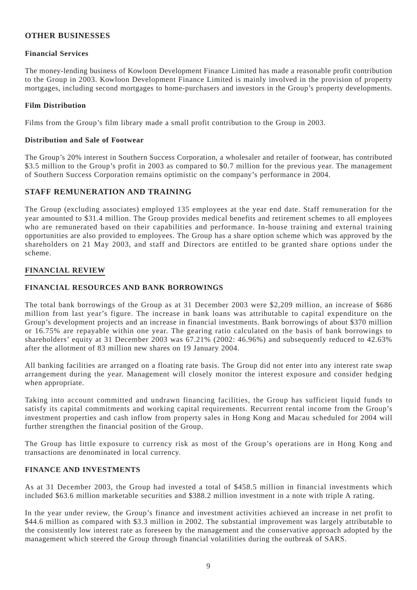### **OTHER BUSINESSES**

### **Financial Services**

The money-lending business of Kowloon Development Finance Limited has made a reasonable profit contribution to the Group in 2003. Kowloon Development Finance Limited is mainly involved in the provision of property mortgages, including second mortgages to home-purchasers and investors in the Group's property developments.

### **Film Distribution**

Films from the Group's film library made a small profit contribution to the Group in 2003.

### **Distribution and Sale of Footwear**

The Group's 20% interest in Southern Success Corporation, a wholesaler and retailer of footwear, has contributed \$3.5 million to the Group's profit in 2003 as compared to \$0.7 million for the previous year. The management of Southern Success Corporation remains optimistic on the company's performance in 2004.

### **STAFF REMUNERATION AND TRAINING**

The Group (excluding associates) employed 135 employees at the year end date. Staff remuneration for the year amounted to \$31.4 million. The Group provides medical benefits and retirement schemes to all employees who are remunerated based on their capabilities and performance. In-house training and external training opportunities are also provided to employees. The Group has a share option scheme which was approved by the shareholders on 21 May 2003, and staff and Directors are entitled to be granted share options under the scheme.

### **FINANCIAL REVIEW**

### **FINANCIAL RESOURCES AND BANK BORROWINGS**

The total bank borrowings of the Group as at 31 December 2003 were \$2,209 million, an increase of \$686 million from last year's figure. The increase in bank loans was attributable to capital expenditure on the Group's development projects and an increase in financial investments. Bank borrowings of about \$370 million or 16.75% are repayable within one year. The gearing ratio calculated on the basis of bank borrowings to shareholders' equity at 31 December 2003 was 67.21% (2002: 46.96%) and subsequently reduced to 42.63% after the allotment of 83 million new shares on 19 January 2004.

All banking facilities are arranged on a floating rate basis. The Group did not enter into any interest rate swap arrangement during the year. Management will closely monitor the interest exposure and consider hedging when appropriate.

Taking into account committed and undrawn financing facilities, the Group has sufficient liquid funds to satisfy its capital commitments and working capital requirements. Recurrent rental income from the Group's investment properties and cash inflow from property sales in Hong Kong and Macau scheduled for 2004 will further strengthen the financial position of the Group.

The Group has little exposure to currency risk as most of the Group's operations are in Hong Kong and transactions are denominated in local currency.

#### **FINANCE AND INVESTMENTS**

As at 31 December 2003, the Group had invested a total of \$458.5 million in financial investments which included \$63.6 million marketable securities and \$388.2 million investment in a note with triple A rating.

In the year under review, the Group's finance and investment activities achieved an increase in net profit to \$44.6 million as compared with \$3.3 million in 2002. The substantial improvement was largely attributable to the consistently low interest rate as foreseen by the management and the conservative approach adopted by the management which steered the Group through financial volatilities during the outbreak of SARS.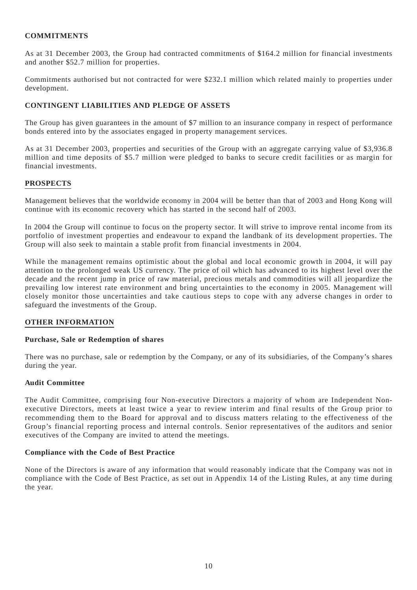### **COMMITMENTS**

As at 31 December 2003, the Group had contracted commitments of \$164.2 million for financial investments and another \$52.7 million for properties.

Commitments authorised but not contracted for were \$232.1 million which related mainly to properties under development.

### **CONTINGENT LIABILITIES AND PLEDGE OF ASSETS**

The Group has given guarantees in the amount of \$7 million to an insurance company in respect of performance bonds entered into by the associates engaged in property management services.

As at 31 December 2003, properties and securities of the Group with an aggregate carrying value of \$3,936.8 million and time deposits of \$5.7 million were pledged to banks to secure credit facilities or as margin for financial investments.

#### **PROSPECTS**

Management believes that the worldwide economy in 2004 will be better than that of 2003 and Hong Kong will continue with its economic recovery which has started in the second half of 2003.

In 2004 the Group will continue to focus on the property sector. It will strive to improve rental income from its portfolio of investment properties and endeavour to expand the landbank of its development properties. The Group will also seek to maintain a stable profit from financial investments in 2004.

While the management remains optimistic about the global and local economic growth in 2004, it will pay attention to the prolonged weak US currency. The price of oil which has advanced to its highest level over the decade and the recent jump in price of raw material, precious metals and commodities will all jeopardize the prevailing low interest rate environment and bring uncertainties to the economy in 2005. Management will closely monitor those uncertainties and take cautious steps to cope with any adverse changes in order to safeguard the investments of the Group.

#### **OTHER INFORMATION**

#### **Purchase, Sale or Redemption of shares**

There was no purchase, sale or redemption by the Company, or any of its subsidiaries, of the Company's shares during the year.

#### **Audit Committee**

The Audit Committee, comprising four Non-executive Directors a majority of whom are Independent Nonexecutive Directors, meets at least twice a year to review interim and final results of the Group prior to recommending them to the Board for approval and to discuss matters relating to the effectiveness of the Group's financial reporting process and internal controls. Senior representatives of the auditors and senior executives of the Company are invited to attend the meetings.

#### **Compliance with the Code of Best Practice**

None of the Directors is aware of any information that would reasonably indicate that the Company was not in compliance with the Code of Best Practice, as set out in Appendix 14 of the Listing Rules, at any time during the year.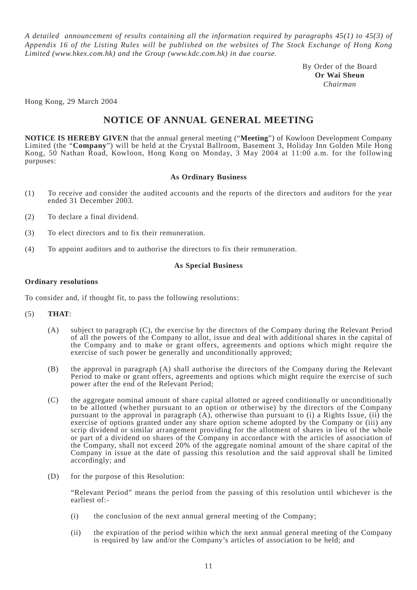*A detailed announcement of results containing all the information required by paragraphs 45(1) to 45(3) of Appendix 16 of the Listing Rules will be published on the websites of The Stock Exchange of Hong Kong Limited (www.hkex.com.hk) and the Group (www.kdc.com.hk) in due course.*

> By Order of the Board **Or Wai Sheun** *Chairman*

Hong Kong, 29 March 2004

# **NOTICE OF ANNUAL GENERAL MEETING**

**NOTICE IS HEREBY GIVEN** that the annual general meeting ("**Meeting**") of Kowloon Development Company Limited (the "**Company**") will be held at the Crystal Ballroom, Basement 3, Holiday Inn Golden Mile Hong Kong, 50 Nathan Road, Kowloon, Hong Kong on Monday, 3 May 2004 at 11:00 a.m. for the following purposes:

#### **As Ordinary Business**

- (1) To receive and consider the audited accounts and the reports of the directors and auditors for the year ended 31 December 2003.
- (2) To declare a final dividend.
- (3) To elect directors and to fix their remuneration.
- (4) To appoint auditors and to authorise the directors to fix their remuneration.

#### **As Special Business**

#### **Ordinary resolutions**

To consider and, if thought fit, to pass the following resolutions:

#### (5) **THAT**:

- (A) subject to paragraph (C), the exercise by the directors of the Company during the Relevant Period of all the powers of the Company to allot, issue and deal with additional shares in the capital of the Company and to make or grant offers, agreements and options which might require the exercise of such power be generally and unconditionally approved;
- (B) the approval in paragraph (A) shall authorise the directors of the Company during the Relevant Period to make or grant offers, agreements and options which might require the exercise of such power after the end of the Relevant Period;
- (C) the aggregate nominal amount of share capital allotted or agreed conditionally or unconditionally to be allotted (whether pursuant to an option or otherwise) by the directors of the Company pursuant to the approval in paragraph (A), otherwise than pursuant to (i) a Rights Issue, (ii) the exercise of options granted under any share option scheme adopted by the Company or (iii) any scrip dividend or similar arrangement providing for the allotment of shares in lieu of the whole or part of a dividend on shares of the Company in accordance with the articles of association of the Company, shall not exceed 20% of the aggregate nominal amount of the share capital of the Company in issue at the date of passing this resolution and the said approval shall be limited accordingly; and
- (D) for the purpose of this Resolution:

"Relevant Period" means the period from the passing of this resolution until whichever is the earliest of:-

- (i) the conclusion of the next annual general meeting of the Company;
- (ii) the expiration of the period within which the next annual general meeting of the Company is required by law and/or the Company's articles of association to be held; and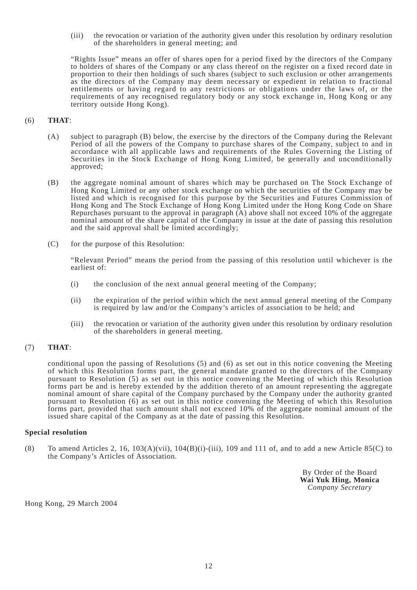(iii) the revocation or variation of the authority given under this resolution by ordinary resolution of the shareholders in general meeting; and

"Rights Issue" means an offer of shares open for a period fixed by the directors of the Company to holders of shares of the Company or any class thereof on the register on a fixed record date in proportion to their then holdings of such shares (subject to such exclusion or other arrangements as the directors of the Company may deem necessary or expedient in relation to fractional entitlements or having regard to any restrictions or obligations under the laws of, or the requirements of any recognised regulatory body or any stock exchange in, Hong Kong or any territory outside Hong Kong).

#### (6) **THAT**:

- (A) subject to paragraph (B) below, the exercise by the directors of the Company during the Relevant Period of all the powers of the Company to purchase shares of the Company, subject to and in accordance with all applicable laws and requirements of the Rules Governing the Listing of Securities in the Stock Exchange of Hong Kong Limited, be generally and unconditionally approved;
- (B) the aggregate nominal amount of shares which may be purchased on The Stock Exchange of Hong Kong Limited or any other stock exchange on which the securities of the Company may be listed and which is recognised for this purpose by the Securities and Futures Commission of Hong Kong and The Stock Exchange of Hong Kong Limited under the Hong Kong Code on Share Repurchases pursuant to the approval in paragraph (A) above shall not exceed 10% of the aggregate nominal amount of the share capital of the Company in issue at the date of passing this resolution and the said approval shall be limited accordingly;
- (C) for the purpose of this Resolution:

"Relevant Period" means the period from the passing of this resolution until whichever is the earliest of:

- (i) the conclusion of the next annual general meeting of the Company;
- (ii) the expiration of the period within which the next annual general meeting of the Company is required by law and/or the Company's articles of association to be held; and
- (iii) the revocation or variation of the authority given under this resolution by ordinary resolution of the shareholders in general meeting.

### (7) **THAT**:

conditional upon the passing of Resolutions (5) and (6) as set out in this notice convening the Meeting of which this Resolution forms part, the general mandate granted to the directors of the Company pursuant to Resolution (5) as set out in this notice convening the Meeting of which this Resolution forms part be and is hereby extended by the addition thereto of an amount representing the aggregate nominal amount of share capital of the Company purchased by the Company under the authority granted pursuant to Resolution (6) as set out in this notice convening the Meeting of which this Resolution forms part, provided that such amount shall not exceed 10% of the aggregate nominal amount of the issued share capital of the Company as at the date of passing this Resolution.

#### **Special resolution**

(8) To amend Articles 2, 16,  $103(A)(vii)$ ,  $104(B)(i)$ -(iii), 109 and 111 of, and to add a new Article 85(C) to the Company's Articles of Association.

> By Order of the Board **Wai Yuk Hing, Monica** *Company Secretary*

Hong Kong, 29 March 2004